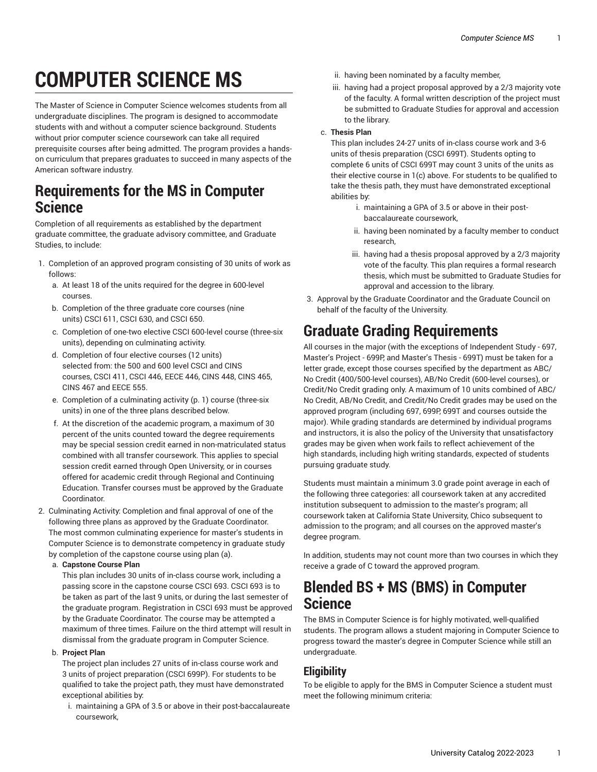# **COMPUTER SCIENCE MS**

The Master of Science in Computer Science welcomes students from all undergraduate disciplines. The program is designed to accommodate students with and without a computer science background. Students without prior computer science coursework can take all required prerequisite courses after being admitted. The program provides a handson curriculum that prepares graduates to succeed in many aspects of the American software industry.

# **Requirements for the MS in Computer Science**

Completion of all requirements as established by the department graduate committee, the graduate advisory committee, and Graduate Studies, to include:

- 1. Completion of an approved program consisting of 30 units of work as follows:
	- a. At least 18 of the units required for the degree in 600-level courses.
	- b. Completion of the three graduate core courses (nine units) CSCI 611, CSCI 630, and CSCI 650.
	- c. Completion of one-two elective CSCI 600-level course (three-six units), depending on culminating activity.
	- d. Completion of four elective courses (12 units) selected from: the 500 and 600 level CSCI and CINS courses, CSCI 411, CSCI 446, EECE 446, CINS 448, CINS 465, CINS 467 and EECE 555.
	- e. Completion of a [culminating activity \(p. 1](#page-0-0)) course (three-six units) in one of the three plans described below.
	- f. At the discretion of the academic program, a maximum of 30 percent of the units counted toward the degree requirements may be special session credit earned in non-matriculated status combined with all transfer coursework. This applies to special session credit earned through Open University, or in courses offered for academic credit through Regional and Continuing Education. Transfer courses must be approved by the Graduate Coordinator.
- <span id="page-0-0"></span>2. Culminating Activity: Completion and final approval of one of the following three plans as approved by the Graduate Coordinator. The most common culminating experience for master's students in Computer Science is to demonstrate competency in graduate study by completion of the capstone course using plan (a).
	- a. **Capstone Course Plan**

This plan includes 30 units of in-class course work, including a passing score in the capstone course CSCI 693. CSCI 693 is to be taken as part of the last 9 units, or during the last semester of the graduate program. Registration in CSCI 693 must be approved by the Graduate Coordinator. The course may be attempted a maximum of three times. Failure on the third attempt will result in dismissal from the graduate program in Computer Science.

#### b. **Project Plan**

The project plan includes 27 units of in-class course work and 3 units of project preparation (CSCI 699P). For students to be qualified to take the project path, they must have demonstrated exceptional abilities by:

i. maintaining a GPA of 3.5 or above in their post-baccalaureate coursework,

- ii. having been nominated by a faculty member,
- iii. having had a project proposal approved by a 2/3 majority vote of the faculty. A formal written description of the project must be submitted to Graduate Studies for approval and accession to the library.

#### c. **Thesis Plan**

This plan includes 24-27 units of in-class course work and 3-6 units of thesis preparation (CSCI 699T). Students opting to complete 6 units of CSCI 699T may count 3 units of the units as their elective course in 1(c) above. For students to be qualified to take the thesis path, they must have demonstrated exceptional abilities by:

- i. maintaining a GPA of 3.5 or above in their postbaccalaureate coursework,
- ii. having been nominated by a faculty member to conduct research,
- iii. having had a thesis proposal approved by a 2/3 majority vote of the faculty. This plan requires a formal research thesis, which must be submitted to Graduate Studies for approval and accession to the library.
- 3. Approval by the Graduate Coordinator and the Graduate Council on behalf of the faculty of the University.

# **Graduate Grading Requirements**

All courses in the major (with the exceptions of Independent Study - 697, Master's Project - 699P, and Master's Thesis - 699T) must be taken for a letter grade, except those courses specified by the department as ABC/ No Credit (400/500-level courses), AB/No Credit (600-level courses), or Credit/No Credit grading only. A maximum of 10 units combined of ABC/ No Credit, AB/No Credit, and Credit/No Credit grades may be used on the approved program (including 697, 699P, 699T and courses outside the major). While grading standards are determined by individual programs and instructors, it is also the policy of the University that unsatisfactory grades may be given when work fails to reflect achievement of the high standards, including high writing standards, expected of students pursuing graduate study.

Students must maintain a minimum 3.0 grade point average in each of the following three categories: all coursework taken at any accredited institution subsequent to admission to the master's program; all coursework taken at California State University, Chico subsequent to admission to the program; and all courses on the approved master's degree program.

In addition, students may not count more than two courses in which they receive a grade of C toward the approved program.

# **Blended BS + MS (BMS) in Computer Science**

The BMS in Computer Science is for highly motivated, well-qualified students. The program allows a student majoring in Computer Science to progress toward the master's degree in Computer Science while still an undergraduate.

### **Eligibility**

To be eligible to apply for the BMS in Computer Science a student must meet the following minimum criteria: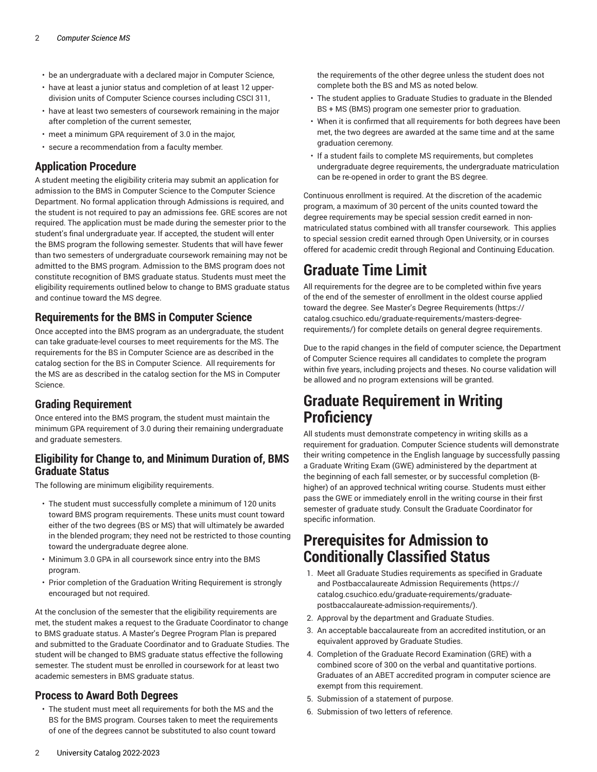- be an undergraduate with a declared major in Computer Science,
- have at least a junior status and completion of at least 12 upperdivision units of Computer Science courses including CSCI 311,
- have at least two semesters of coursework remaining in the major after completion of the current semester,
- meet a minimum GPA requirement of 3.0 in the major,
- secure a recommendation from a faculty member.

#### **Application Procedure**

A student meeting the eligibility criteria may submit an application for admission to the BMS in Computer Science to the Computer Science Department. No formal application through Admissions is required, and the student is not required to pay an admissions fee. GRE scores are not required. The application must be made during the semester prior to the student's final undergraduate year. If accepted, the student will enter the BMS program the following semester. Students that will have fewer than two semesters of undergraduate coursework remaining may not be admitted to the BMS program. Admission to the BMS program does not constitute recognition of BMS graduate status. Students must meet the eligibility requirements outlined below to change to BMS graduate status and continue toward the MS degree.

#### **Requirements for the BMS in Computer Science**

Once accepted into the BMS program as an undergraduate, the student can take graduate-level courses to meet requirements for the MS. The requirements for the BS in Computer Science are as described in the catalog section for the BS in Computer Science. All requirements for the MS are as described in the catalog section for the MS in Computer Science.

#### **Grading Requirement**

Once entered into the BMS program, the student must maintain the minimum GPA requirement of 3.0 during their remaining undergraduate and graduate semesters.

#### **Eligibility for Change to, and Minimum Duration of, BMS Graduate Status**

The following are minimum eligibility requirements.

- The student must successfully complete a minimum of 120 units toward BMS program requirements. These units must count toward either of the two degrees (BS or MS) that will ultimately be awarded in the blended program; they need not be restricted to those counting toward the undergraduate degree alone.
- Minimum 3.0 GPA in all coursework since entry into the BMS program.
- Prior completion of the Graduation Writing Requirement is strongly encouraged but not required.

At the conclusion of the semester that the eligibility requirements are met, the student makes a request to the Graduate Coordinator to change to BMS graduate status. A Master's Degree Program Plan is prepared and submitted to the Graduate Coordinator and to Graduate Studies. The student will be changed to BMS graduate status effective the following semester. The student must be enrolled in coursework for at least two academic semesters in BMS graduate status.

#### **Process to Award Both Degrees**

• The student must meet all requirements for both the MS and the BS for the BMS program. Courses taken to meet the requirements of one of the degrees cannot be substituted to also count toward

the requirements of the other degree unless the student does not complete both the BS and MS as noted below.

- The student applies to Graduate Studies to graduate in the Blended BS + MS (BMS) program one semester prior to graduation.
- When it is confirmed that all requirements for both degrees have been met, the two degrees are awarded at the same time and at the same graduation ceremony.
- If a student fails to complete MS requirements, but completes undergraduate degree requirements, the undergraduate matriculation can be re-opened in order to grant the BS degree.

Continuous enrollment is required. At the discretion of the academic program, a maximum of 30 percent of the units counted toward the degree requirements may be special session credit earned in nonmatriculated status combined with all transfer coursework. This applies to special session credit earned through Open University, or in courses offered for academic credit through Regional and Continuing Education.

# **Graduate Time Limit**

All requirements for the degree are to be completed within five years of the end of the semester of enrollment in the oldest course applied toward the degree. See Master's Degree [Requirements](https://catalog.csuchico.edu/graduate-requirements/masters-degree-requirements/) ([https://](https://catalog.csuchico.edu/graduate-requirements/masters-degree-requirements/) [catalog.csuchico.edu/graduate-requirements/masters-degree](https://catalog.csuchico.edu/graduate-requirements/masters-degree-requirements/)[requirements/](https://catalog.csuchico.edu/graduate-requirements/masters-degree-requirements/)) for complete details on general degree requirements.

Due to the rapid changes in the field of computer science, the Department of Computer Science requires all candidates to complete the program within five years, including projects and theses. No course validation will be allowed and no program extensions will be granted.

# **Graduate Requirement in Writing Proficiency**

All students must demonstrate competency in writing skills as a requirement for graduation. Computer Science students will demonstrate their writing competence in the English language by successfully passing a Graduate Writing Exam (GWE) administered by the department at the beginning of each fall semester, or by successful completion (Bhigher) of an approved technical writing course. Students must either pass the GWE or immediately enroll in the writing course in their first semester of graduate study. Consult the Graduate Coordinator for specific information.

### **Prerequisites for Admission to Conditionally Classified Status**

- 1. Meet all Graduate Studies requirements as specified in [Graduate](https://catalog.csuchico.edu/graduate-requirements/graduate-postbaccalaureate-admission-requirements/) and [Postbaccalaureate](https://catalog.csuchico.edu/graduate-requirements/graduate-postbaccalaureate-admission-requirements/) Admission Requirements [\(https://](https://catalog.csuchico.edu/graduate-requirements/graduate-postbaccalaureate-admission-requirements/) [catalog.csuchico.edu/graduate-requirements/graduate](https://catalog.csuchico.edu/graduate-requirements/graduate-postbaccalaureate-admission-requirements/)[postbaccalaureate-admission-requirements/](https://catalog.csuchico.edu/graduate-requirements/graduate-postbaccalaureate-admission-requirements/)).
- 2. Approval by the department and Graduate Studies.
- 3. An acceptable baccalaureate from an accredited institution, or an equivalent approved by Graduate Studies.
- 4. Completion of the Graduate Record Examination (GRE) with a combined score of 300 on the verbal and quantitative portions. Graduates of an ABET accredited program in computer science are exempt from this requirement.
- 5. Submission of a statement of purpose.
- 6. Submission of two letters of reference.